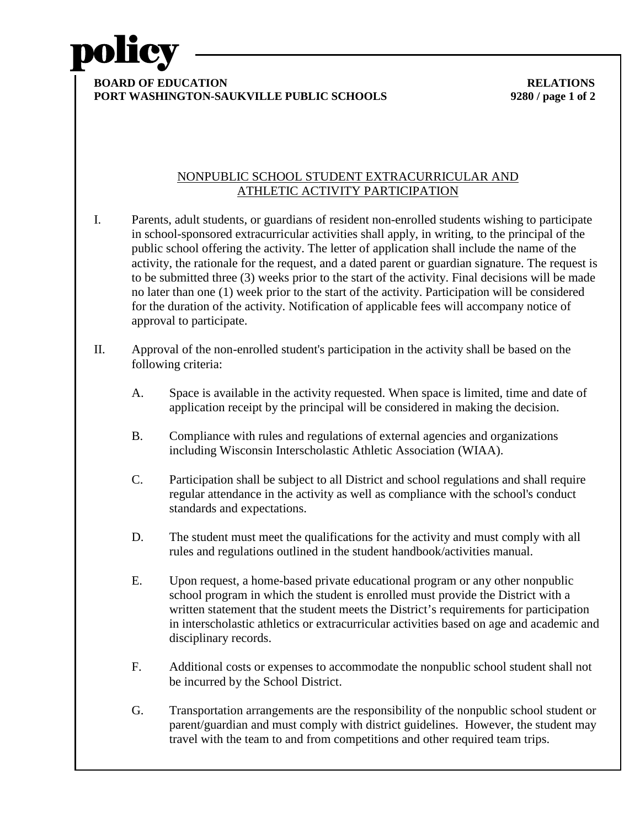

**PORT WASHINGTON-SAUKVILLE PUBLIC SCHOOLS 9280 / page 1 of 2**

## NONPUBLIC SCHOOL STUDENT EXTRACURRICULAR AND ATHLETIC ACTIVITY PARTICIPATION

- I. Parents, adult students, or guardians of resident non-enrolled students wishing to participate in school-sponsored extracurricular activities shall apply, in writing, to the principal of the public school offering the activity. The letter of application shall include the name of the activity, the rationale for the request, and a dated parent or guardian signature. The request is to be submitted three (3) weeks prior to the start of the activity. Final decisions will be made no later than one (1) week prior to the start of the activity. Participation will be considered for the duration of the activity. Notification of applicable fees will accompany notice of approval to participate.
- II. Approval of the non-enrolled student's participation in the activity shall be based on the following criteria:
	- A. Space is available in the activity requested. When space is limited, time and date of application receipt by the principal will be considered in making the decision.
	- B. Compliance with rules and regulations of external agencies and organizations including Wisconsin Interscholastic Athletic Association (WIAA).
	- C. Participation shall be subject to all District and school regulations and shall require regular attendance in the activity as well as compliance with the school's conduct standards and expectations.
	- D. The student must meet the qualifications for the activity and must comply with all rules and regulations outlined in the student handbook/activities manual.
	- E. Upon request, a home-based private educational program or any other nonpublic school program in which the student is enrolled must provide the District with a written statement that the student meets the District's requirements for participation in interscholastic athletics or extracurricular activities based on age and academic and disciplinary records.
	- F. Additional costs or expenses to accommodate the nonpublic school student shall not be incurred by the School District.
	- G. Transportation arrangements are the responsibility of the nonpublic school student or parent/guardian and must comply with district guidelines. However, the student may travel with the team to and from competitions and other required team trips.